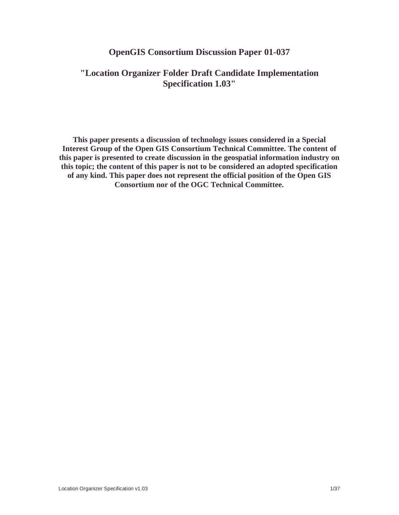#### **OpenGIS Consortium Discussion Paper 01-037**

### **"Location Organizer Folder Draft Candidate Implementation Specification 1.03"**

**This paper presents a discussion of technology issues considered in a Special Interest Group of the Open GIS Consortium Technical Committee. The content of this paper is presented to create discussion in the geospatial information industry on this topic; the content of this paper is not to be considered an adopted specification of any kind. This paper does not represent the official position of the Open GIS Consortium nor of the OGC Technical Committee.**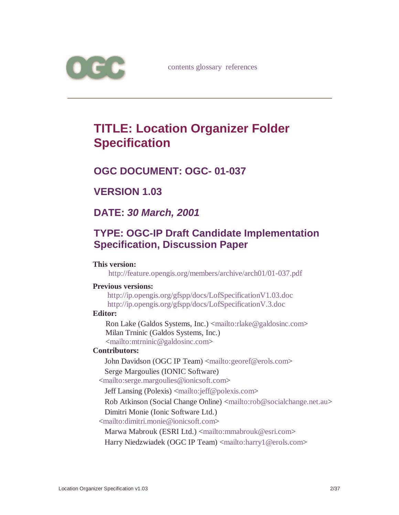

# **TITLE: Location Organizer Folder Specification**

## **OGC DOCUMENT: OGC- 01-037**

## **VERSION 1.03**

## **DATE:** *30 March, 2001*

## **TYPE: OGC-IP Draft Candidate Implementation Specification, Discussion Paper**

#### **This version:**

http://feature.opengis.org/members/archive/arch01/01-037.pdf

#### **Previous versions:**

http://ip.opengis.org/gfspp/docs/LofSpecificationV1.03.doc http://ip.opengis.org/gfspp/docs/LofSpecificationV.3.doc

#### **Editor:**

Ron Lake (Galdos Systems, Inc.) <mailto:rlake@galdosinc.com> Milan Trninic (Galdos Systems, Inc.) <mailto:mtrninic@galdosinc.com>

#### **Contributors:**

John Davidson (OGC IP Team) <mailto:georef@erols.com> Serge Margoulies (IONIC Software)

<mailto:serge.margoulies@ionicsoft.com>

Jeff Lansing (Polexis) <mailto:jeff@polexis.com>

Rob Atkinson (Social Change Online) <mailto:rob@socialchange.net.au>

Dimitri Monie (Ionic Software Ltd.)

<mailto:dimitri.monie@ionicsoft.com>

Marwa Mabrouk (ESRI Ltd.) <mailto:mmabrouk@esri.com>

Harry Niedzwiadek (OGC IP Team) <mailto:harry1@erols.com>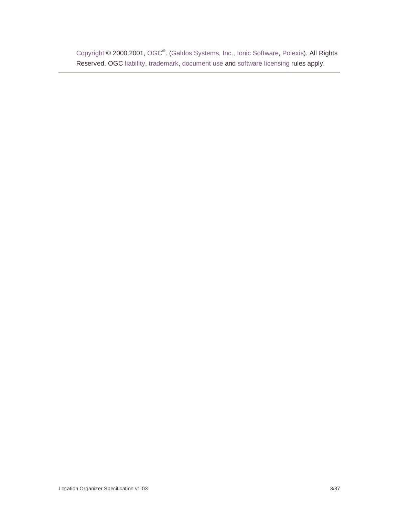Copyright © 2000,2001, OGC<sup>®</sup>. (Galdos Systems, Inc., Ionic Software, Polexis). All Rights Reserved. OGC liability, trademark, document use and software licensing rules apply.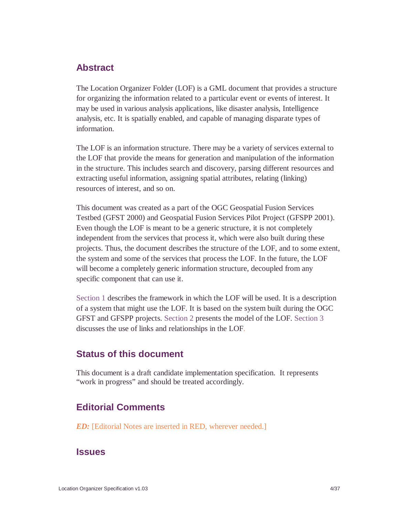### **Abstract**

The Location Organizer Folder (LOF) is a GML document that provides a structure for organizing the information related to a particular event or events of interest. It may be used in various analysis applications, like disaster analysis, Intelligence analysis, etc. It is spatially enabled, and capable of managing disparate types of information.

The LOF is an information structure. There may be a variety of services external to the LOF that provide the means for generation and manipulation of the information in the structure. This includes search and discovery, parsing different resources and extracting useful information, assigning spatial attributes, relating (linking) resources of interest, and so on.

This document was created as a part of the OGC Geospatial Fusion Services Testbed (GFST 2000) and Geospatial Fusion Services Pilot Project (GFSPP 2001). Even though the LOF is meant to be a generic structure, it is not completely independent from the services that process it, which were also built during these projects. Thus, the document describes the structure of the LOF, and to some extent, the system and some of the services that process the LOF. In the future, the LOF will become a completely generic information structure, decoupled from any specific component that can use it.

Section 1 describes the framework in which the LOF will be used. It is a description of a system that might use the LOF. It is based on the system built during the OGC GFST and GFSPP projects. Section 2 presents the model of the LOF. Section 3 discusses the use of links and relationships in the LOF.

### **Status of this document**

This document is a draft candidate implementation specification. It represents "work in progress" and should be treated accordingly.

## **Editorial Comments**

*ED:* [Editorial Notes are inserted in RED, wherever needed.]

#### **Issues**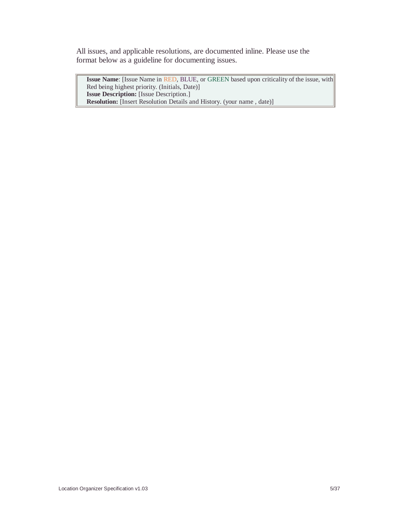All issues, and applicable resolutions, are documented inline. Please use the format below as a guideline for documenting issues.

**Issue Name**: [Issue Name in RED, BLUE, or GREEN based upon criticality of the issue, with Red being highest priority. (Initials, Date)] **Issue Description:** [Issue Description.] **Resolution:** [Insert Resolution Details and History. (your name , date)]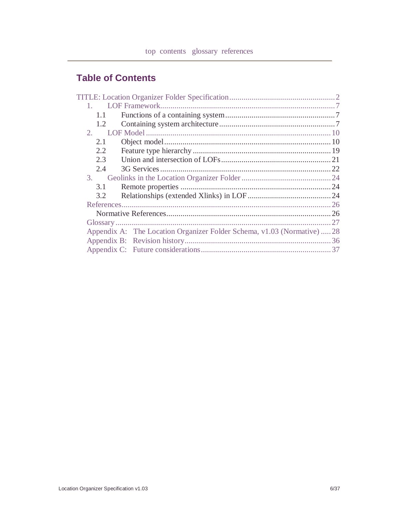## **Table of Contents**

| 1.1           |                                                                         |  |
|---------------|-------------------------------------------------------------------------|--|
| 1.1           |                                                                         |  |
| 1.2           |                                                                         |  |
| 2.            |                                                                         |  |
| 2.1           |                                                                         |  |
| 2.2           |                                                                         |  |
| 2.3           |                                                                         |  |
| 2.4           |                                                                         |  |
| 3.            |                                                                         |  |
| 3.1           |                                                                         |  |
| $3.2^{\circ}$ |                                                                         |  |
|               |                                                                         |  |
|               |                                                                         |  |
|               |                                                                         |  |
|               | Appendix A: The Location Organizer Folder Schema, v1.03 (Normative)  28 |  |
|               |                                                                         |  |
|               |                                                                         |  |
|               |                                                                         |  |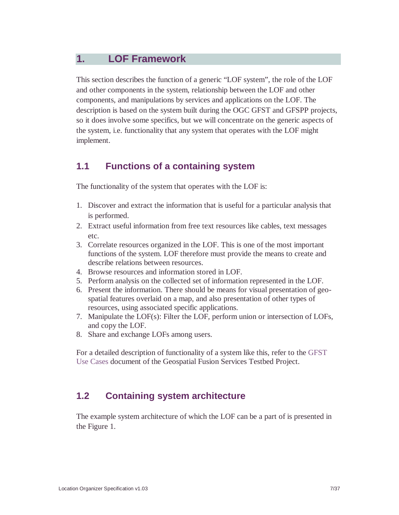## **1. LOF Framework**

This section describes the function of a generic "LOF system", the role of the LOF and other components in the system, relationship between the LOF and other components, and manipulations by services and applications on the LOF. The description is based on the system built during the OGC GFST and GFSPP projects, so it does involve some specifics, but we will concentrate on the generic aspects of the system, i.e. functionality that any system that operates with the LOF might implement.

### **1.1 Functions of a containing system**

The functionality of the system that operates with the LOF is:

- 1. Discover and extract the information that is useful for a particular analysis that is performed.
- 2. Extract useful information from free text resources like cables, text messages  $etc.$
- 3. Correlate resources organized in the LOF. This is one of the most important functions of the system. LOF therefore must provide the means to create and describe relations between resources.
- 4. Browse resources and information stored in LOF.
- 5. Perform analysis on the collected set of information represented in the LOF.
- 6. Present the information. There should be means for visual presentation of geospatial features overlaid on a map, and also presentation of other types of resources, using associated specific applications.
- 7. Manipulate the LOF(s): Filter the LOF, perform union or intersection of LOFs, and copy the LOF.
- 8. Share and exchange LOFs among users.

For a detailed description of functionality of a system like this, refer to the GFST Use Cases document of the Geospatial Fusion Services Testbed Project.

## **1.2 Containing system architecture**

The example system architecture of which the LOF can be a part of is presented in the Figure 1.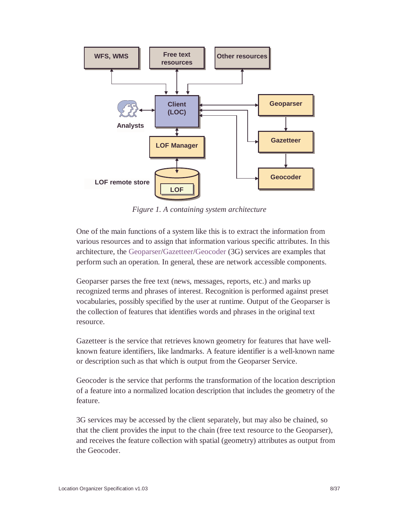

*Figure 1. A containing system architecture*

One of the main functions of a system like this is to extract the information from various resources and to assign that information various specific attributes. In this architecture, the Geoparser/Gazetteer/Geocoder (3G) services are examples that perform such an operation. In general, these are network accessible components.

Geoparser parses the free text (news, messages, reports, etc.) and marks up recognized terms and phrases of interest. Recognition is performed against preset vocabularies, possibly specified by the user at runtime. Output of the Geoparser is the collection of features that identifies words and phrases in the original text resource.

Gazetteer is the service that retrieves known geometry for features that have wellknown feature identifiers, like landmarks. A feature identifier is a well-known name or description such as that which is output from the Geoparser Service.

Geocoder is the service that performs the transformation of the location description of a feature into a normalized location description that includes the geometry of the feature.

3G services may be accessed by the client separately, but may also be chained, so that the client provides the input to the chain (free text resource to the Geoparser), and receives the feature collection with spatial (geometry) attributes as output from the Geocoder.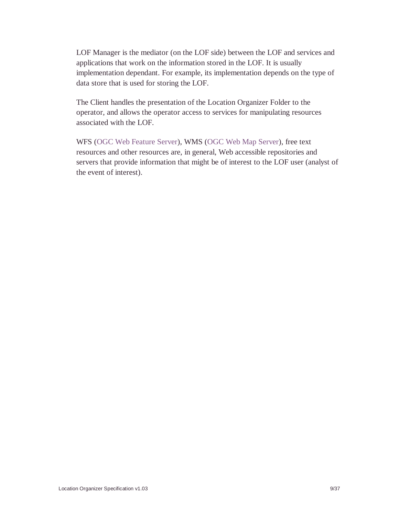LOF Manager is the mediator (on the LOF side) between the LOF and services and applications that work on the information stored in the LOF. It is usually implementation dependant. For example, its implementation depends on the type of data store that is used for storing the LOF.

The Client handles the presentation of the Location Organizer Folder to the operator, and allows the operator access to services for manipulating resources associated with the LOF.

WFS (OGC Web Feature Server), WMS (OGC Web Map Server), free text resources and other resources are, in general, Web accessible repositories and servers that provide information that might be of interest to the LOF user (analyst of the event of interest).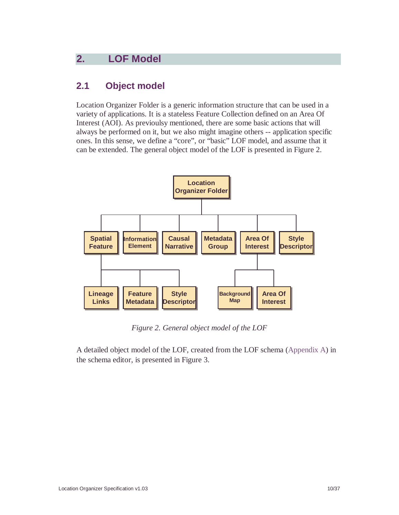## **2. LOF Model**

### **2.1 Object model**

Location Organizer Folder is a generic information structure that can be used in a variety of applications. It is a stateless Feature Collection defined on an Area Of Interest (AOI). As previoulsy mentioned, there are some basic actions that will always be performed on it, but we also might imagine others -- application specific ones. In this sense, we define a "core", or "basic" LOF model, and assume that it can be extended. The general object model of the LOF is presented in Figure 2.



*Figure 2. General object model of the LOF*

A detailed object model of the LOF, created from the LOF schema (Appendix A) in the schema editor, is presented in Figure 3.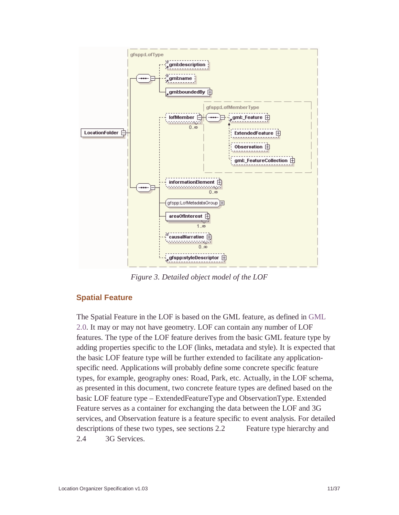

*Figure 3. Detailed object model of the LOF*

### **Spatial Feature**

The Spatial Feature in the LOF is based on the GML feature, as defined in GML 2.0. It may or may not have geometry. LOF can contain any number of LOF features. The type of the LOF feature derives from the basic GML feature type by adding properties specific to the LOF (links, metadata and style). It is expected that the basic LOF feature type will be further extended to facilitate any applicationspecific need. Applications will probably define some concrete specific feature types, for example, geography ones: Road, Park, etc. Actually, in the LOF schema, as presented in this document, two concrete feature types are defined based on the basic LOF feature type – ExtendedFeatureType and ObservationType. Extended Feature serves as a container for exchanging the data between the LOF and 3G services, and Observation feature is a feature specific to event analysis. For detailed descriptions of these two types, see sections 2.2 Feature type hierarchy and 2.4 3G Services.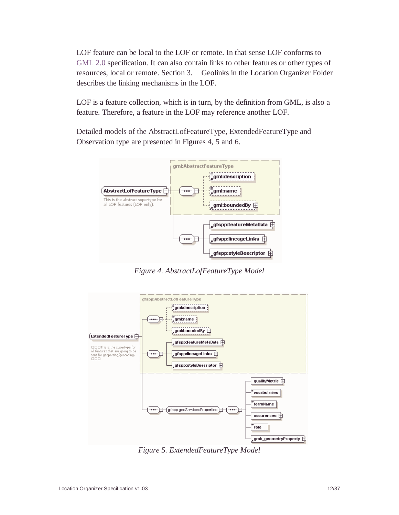LOF feature can be local to the LOF or remote. In that sense LOF conforms to GML 2.0 specification. It can also contain links to other features or other types of resources, local or remote. Section 3. Geolinks in the Location Organizer Folder describes the linking mechanisms in the LOF.

LOF is a feature collection, which is in turn, by the definition from GML, is also a feature. Therefore, a feature in the LOF may reference another LOF.

Detailed models of the AbstractLofFeatureType, ExtendedFeatureType and Observation type are presented in Figures 4, 5 and 6.



*Figure 4. AbstractLofFeatureType Model*



*Figure 5. ExtendedFeatureType Model*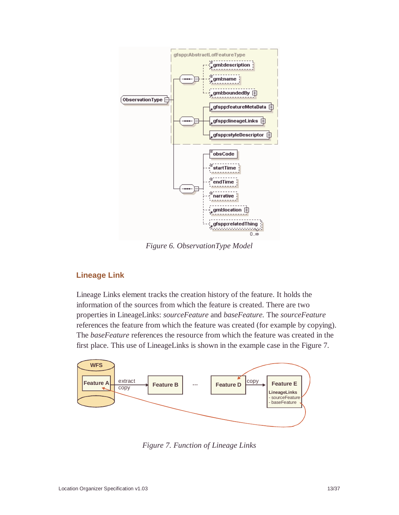

*Figure 6. ObservationType Model*

#### **Lineage Link**

Lineage Links element tracks the creation history of the feature. It holds the information of the sources from which the feature is created. There are two properties in LineageLinks: *sourceFeature* and *baseFeature.* The *sourceFeature* references the feature from which the feature was created (for example by copying). The *baseFeature* references the resource from which the feature was created in the first place. This use of LineageLinks is shown in the example case in the Figure 7*.*



*Figure 7. Function of Lineage Links*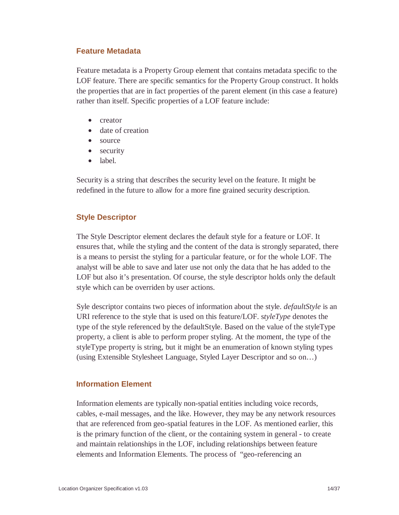#### **Feature Metadata**

Feature metadata is a Property Group element that contains metadata specific to the LOF feature. There are specific semantics for the Property Group construct. It holds the properties that are in fact properties of the parent element (in this case a feature) rather than itself. Specific properties of a LOF feature include:

- creator
- date of creation
- source
- security
- label.

Security is a string that describes the security level on the feature. It might be redefined in the future to allow for a more fine grained security description.

#### **Style Descriptor**

The Style Descriptor element declares the default style for a feature or LOF. It ensures that, while the styling and the content of the data is strongly separated, there is a means to persist the styling for a particular feature, or for the whole LOF. The analyst will be able to save and later use not only the data that he has added to the LOF but also it's presentation. Of course, the style descriptor holds only the default style which can be overriden by user actions.

Syle descriptor contains two pieces of information about the style. *defaultStyle* is an URI reference to the style that is used on this feature/LOF. s*tyleType* denotes the type of the style referenced by the defaultStyle. Based on the value of the styleType property, a client is able to perform proper styling. At the moment, the type of the styleType property is string, but it might be an enumeration of known styling types (using Extensible Stylesheet Language, Styled Layer Descriptor and so on…)

#### **Information Element**

Information elements are typically non-spatial entities including voice records, cables, e-mail messages, and the like. However, they may be any network resources that are referenced from geo-spatial features in the LOF. As mentioned earlier, this is the primary function of the client, or the containing system in general - to create and maintain relationships in the LOF, including relationships between feature elements and Information Elements. The process of "geo-referencing an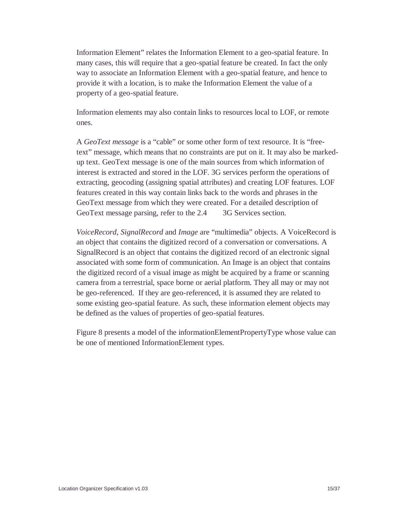Information Element" relates the Information Element to a geo-spatial feature. In many cases, this will require that a geo-spatial feature be created. In fact the only way to associate an Information Element with a geo-spatial feature, and hence to provide it with a location, is to make the Information Element the value of a property of a geo-spatial feature.

Information elements may also contain links to resources local to LOF, or remote ones.

A *GeoText message* is a "cable" or some other form of text resource. It is "freetext" message, which means that no constraints are put on it. It may also be markedup text. GeoText message is one of the main sources from which information of interest is extracted and stored in the LOF. 3G services perform the operations of extracting, geocoding (assigning spatial attributes) and creating LOF features. LOF features created in this way contain links back to the words and phrases in the GeoText message from which they were created. For a detailed description of GeoText message parsing, refer to the 2.4 3G Services section.

*VoiceRecord*, *SignalRecord* and *Image* are "multimedia" objects. A VoiceRecord is an object that contains the digitized record of a conversation or conversations. A SignalRecord is an object that contains the digitized record of an electronic signal associated with some form of communication. An Image is an object that contains the digitized record of a visual image as might be acquired by a frame or scanning camera from a terrestrial, space borne or aerial platform. They all may or may not be geo-referenced. If they are geo-referenced, it is assumed they are related to some existing geo-spatial feature. As such, these information element objects may be defined as the values of properties of geo-spatial features.

Figure 8 presents a model of the informationElementPropertyType whose value can be one of mentioned InformationElement types.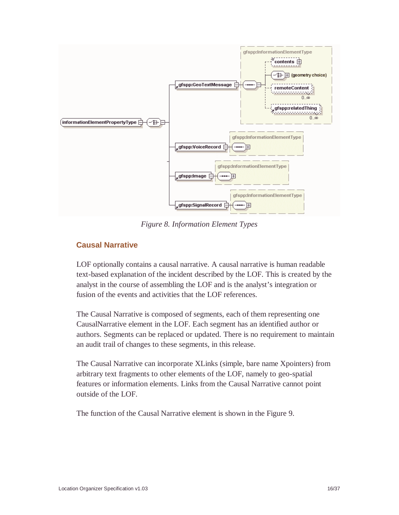

*Figure 8. Information Element Types*

#### **Causal Narrative**

LOF optionally contains a causal narrative. A causal narrative is human readable text-based explanation of the incident described by the LOF. This is created by the analyst in the course of assembling the LOF and is the analyst's integration or fusion of the events and activities that the LOF references.

The Causal Narrative is composed of segments, each of them representing one CausalNarrative element in the LOF. Each segment has an identified author or authors. Segments can be replaced or updated. There is no requirement to maintain an audit trail of changes to these segments, in this release.

The Causal Narrative can incorporate XLinks (simple, bare name Xpointers) from arbitrary text fragments to other elements of the LOF, namely to geo-spatial features or information elements. Links from the Causal Narrative cannot point outside of the LOF.

The function of the Causal Narrative element is shown in the Figure 9.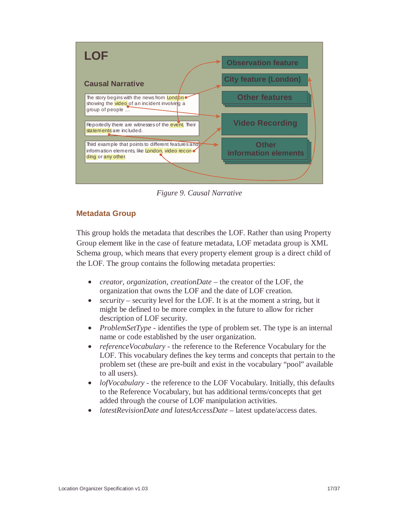

*Figure 9. Causal Narrative*

#### **Metadata Group**

This group holds the metadata that describes the LOF. Rather than using Property Group element like in the case of feature metadata, LOF metadata group is XML Schema group, which means that every property element group is a direct child of the LOF. The group contains the following metadata properties:

- *creator, organization, creationDate* the creator of the LOF, the organization that owns the LOF and the date of LOF creation.
- *security* security level for the LOF. It is at the moment a string, but it might be defined to be more complex in the future to allow for richer description of LOF security.
- *ProblemSetType* identifies the type of problem set. The type is an internal name or code established by the user organization.
- *referenceVocabulary -* the reference to the Reference Vocabulary for the LOF. This vocabulary defines the key terms and concepts that pertain to the problem set (these are pre-built and exist in the vocabulary "pool" available to all users).
- *lofVocabulary* the reference to the LOF Vocabulary. Initially, this defaults to the Reference Vocabulary, but has additional terms/concepts that get added through the course of LOF manipulation activities.
- *latestRevisionDate and latestAccessDate* latest update/access dates.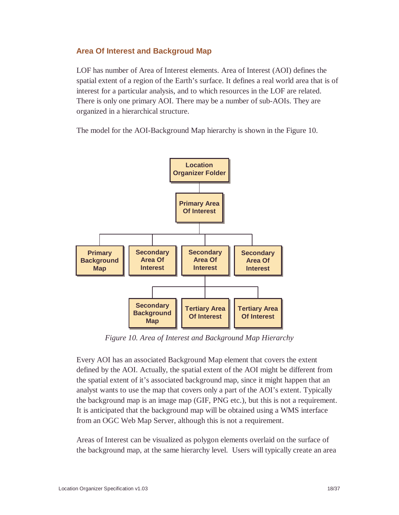#### **Area Of Interest and Backgroud Map**

LOF has number of Area of Interest elements. Area of Interest (AOI) defines the spatial extent of a region of the Earth's surface. It defines a real world area that is of interest for a particular analysis, and to which resources in the LOF are related. There is only one primary AOI. There may be a number of sub-AOIs. They are organized in a hierarchical structure.

The model for the AOI-Background Map hierarchy is shown in the Figure 10.



*Figure 10. Area of Interest and Background Map Hierarchy*

Every AOI has an associated Background Map element that covers the extent defined by the AOI. Actually, the spatial extent of the AOI might be different from the spatial extent of it's associated background map, since it might happen that an analyst wants to use the map that covers only a part of the AOI's extent. Typically the background map is an image map (GIF, PNG etc.), but this is not a requirement. It is anticipated that the background map will be obtained using a WMS interface from an OGC Web Map Server, although this is not a requirement.

Areas of Interest can be visualized as polygon elements overlaid on the surface of the background map, at the same hierarchy level. Users will typically create an area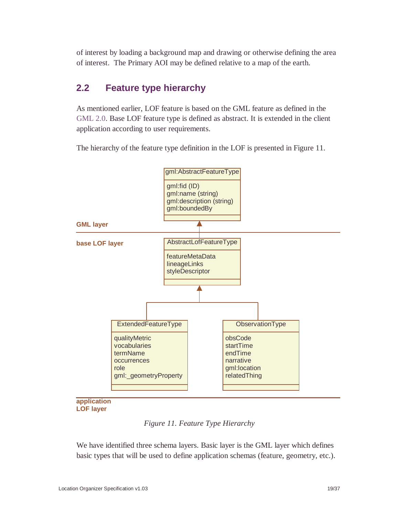of interest by loading a background map and drawing or otherwise defining the area of interest. The Primary AOI may be defined relative to a map of the earth.

### **2.2 Feature type hierarchy**

As mentioned earlier, LOF feature is based on the GML feature as defined in the GML 2.0. Base LOF feature type is defined as abstract. It is extended in the client application according to user requirements.

The hierarchy of the feature type definition in the LOF is presented in Figure 11.



**application LOF layer**

*Figure 11. Feature Type Hierarchy*

We have identified three schema layers. Basic layer is the GML layer which defines basic types that will be used to define application schemas (feature, geometry, etc.).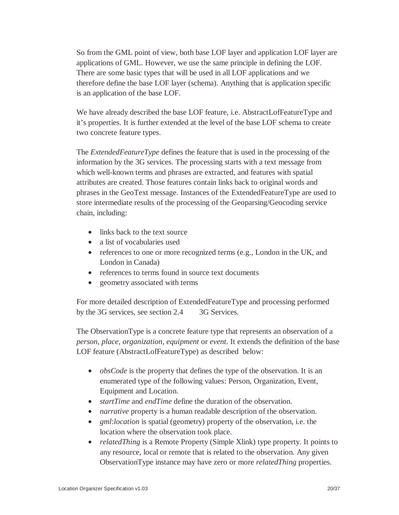So from the GML point of view, both base LOF layer and application LOF layer are applications of GML. However, we use the same principle in defining the LOF. There are some basic types that will be used in all LOF applications and we therefore define the base LOF layer (schema). Anything that is application specific is an application of the base LOF.

We have already described the base LOF feature, i.e. AbstractLofFeatureType and it's properties. It is further extended at the level of the base LOF schema to create two concrete feature types.

The *ExtendedFeatureType* defines the feature that is used in the processing of the information by the 3G services. The processing starts with a text message from which well-known terms and phrases are extracted, and features with spatial attributes are created. Those features contain links back to original words and phrases in the GeoText message. Instances of the ExtendedFeatureType are used to store intermediate results of the processing of the Geoparsing/Geocoding service chain, including:

- links back to the text source
- a list of vocabularies used
- references to one or more recognized terms (e.g., London in the UK, and London in Canada)
- references to terms found in source text documents
- geometry associated with terms

For more detailed description of ExtendedFeatureType and processing performed by the 3G services, see section 2.4 3G Services.

The ObservationType is a concrete feature type that represents an observation of a *person, place, organization, equipment* or *event*. It extends the definition of the base LOF feature (AbstractLofFeatureType) as described below:

- *obsCode* is the property that defines the type of the observation. It is an enumerated type of the following values: Person, Organization, Event, Equipment and Location.
- *startTime* and *endTime* define the duration of the observation.
- *narrative* property is a human readable description of the observation.
- *gml:location* is spatial (geometry) property of the observation, i.e. the location where the observation took place.
- *relatedThing* is a Remote Property (Simple Xlink) type property. It points to any resource, local or remote that is related to the observation. Any given ObservationType instance may have zero or more *relatedThing* properties.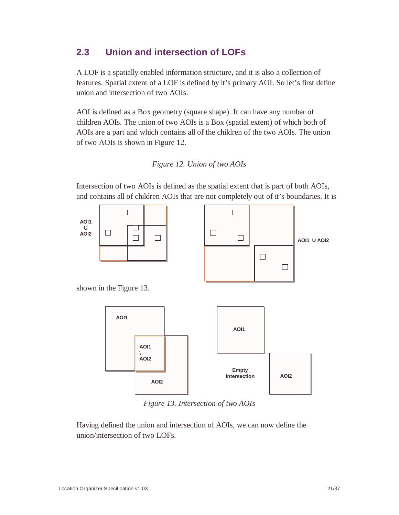## **2.3 Union and intersection of LOFs**

A LOF is a spatially enabled information structure, and it is also a collection of features. Spatial extent of a LOF is defined by it's primary AOI. So let's first define union and intersection of two AOIs.

AOI is defined as a Box geometry (square shape). It can have any number of children AOIs. The union of two AOIs is a Box (spatial extent) of which both of AOIs are a part and which contains all of the children of the two AOIs. The union of two AOIs is shown in Figure 12.





Intersection of two AOIs is defined as the spatial extent that is part of both AOIs,



*Figure 13. Intersection of two AOIs*

Having defined the union and intersection of AOIs, we can now define the union/intersection of two LOFs.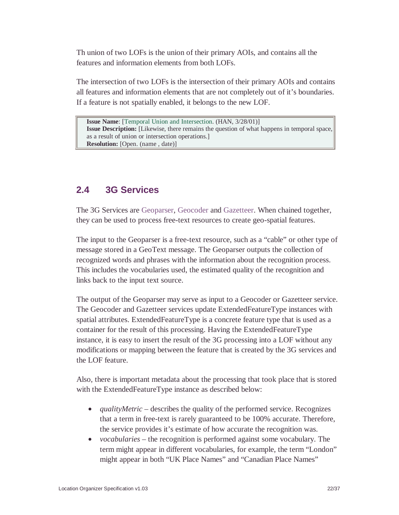Th union of two LOFs is the union of their primary AOIs, and contains all the features and information elements from both LOFs.

The intersection of two LOFs is the intersection of their primary AOIs and contains all features and information elements that are not completely out of it's boundaries. If a feature is not spatially enabled, it belongs to the new LOF.

**Issue Name**: [Temporal Union and Intersection. (HAN, 3/28/01)] **Issue Description:** [Likewise, there remains the question of what happens in temporal space, as a result of union or intersection operations.] **Resolution:** [Open. (name , date)]

### **2.4 3G Services**

The 3G Services are Geoparser, Geocoder and Gazetteer. When chained together, they can be used to process free-text resources to create geo-spatial features.

The input to the Geoparser is a free-text resource, such as a "cable" or other type of message stored in a GeoText message. The Geoparser outputs the collection of recognized words and phrases with the information about the recognition process. This includes the vocabularies used, the estimated quality of the recognition and links back to the input text source.

The output of the Geoparser may serve as input to a Geocoder or Gazetteer service. The Geocoder and Gazetteer services update ExtendedFeatureType instances with spatial attributes. ExtendedFeatureType is a concrete feature type that is used as a container for the result of this processing. Having the ExtendedFeatureType instance, it is easy to insert the result of the 3G processing into a LOF without any modifications or mapping between the feature that is created by the 3G services and the LOF feature.

Also, there is important metadata about the processing that took place that is stored with the ExtendedFeatureType instance as described below:

- *qualityMetric* describes the quality of the performed service. Recognizes that a term in free-text is rarely guaranteed to be 100% accurate. Therefore, the service provides it's estimate of how accurate the recognition was.
- *vocabularies* the recognition is performed against some vocabulary. The term might appear in different vocabularies, for example, the term "London" might appear in both "UK Place Names" and "Canadian Place Names"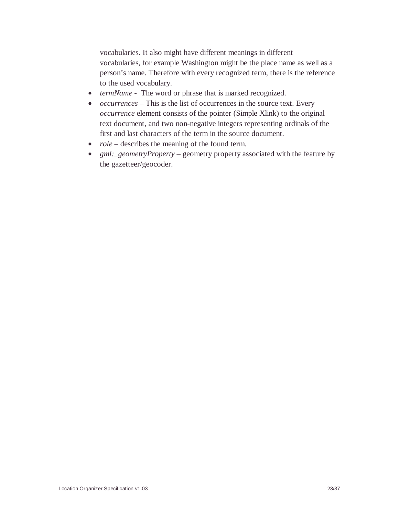vocabularies. It also might have different meanings in different vocabularies, for example Washington might be the place name as well as a person's name. Therefore with every recognized term, there is the reference to the used vocabulary.

- *termName* The word or phrase that is marked recognized.
- *occurrences* This is the list of occurrences in the source text. Every *occurrence* element consists of the pointer (Simple Xlink) to the original text document, and two non-negative integers representing ordinals of the first and last characters of the term in the source document.
- *role* describes the meaning of the found term.
- *gml:\_geometryProperty* geometry property associated with the feature by the gazetteer/geocoder.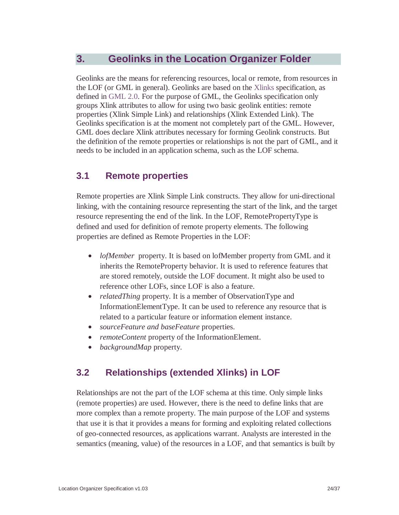### **3. Geolinks in the Location Organizer Folder**

Geolinks are the means for referencing resources, local or remote, from resources in the LOF (or GML in general). Geolinks are based on the Xlinks specification, as defined in GML 2.0. For the purpose of GML, the Geolinks specification only groups Xlink attributes to allow for using two basic geolink entities: remote properties (Xlink Simple Link) and relationships (Xlink Extended Link). The Geolinks specification is at the moment not completely part of the GML. However, GML does declare Xlink attributes necessary for forming Geolink constructs. But the definition of the remote properties or relationships is not the part of GML, and it needs to be included in an application schema, such as the LOF schema.

### **3.1 Remote properties**

Remote properties are Xlink Simple Link constructs. They allow for uni-directional linking, with the containing resource representing the start of the link, and the target resource representing the end of the link. In the LOF, RemotePropertyType is defined and used for definition of remote property elements. The following properties are defined as Remote Properties in the LOF:

- *lofMember* property. It is based on lofMember property from GML and it inherits the RemoteProperty behavior. It is used to reference features that are stored remotely, outside the LOF document. It might also be used to reference other LOFs, since LOF is also a feature.
- *relatedThing* property. It is a member of ObservationType and InformationElementType. It can be used to reference any resource that is related to a particular feature or information element instance.
- *sourceFeature and baseFeature* properties.
- *remoteContent* property of the InformationElement.
- *backgroundMap* property.

## **3.2 Relationships (extended Xlinks) in LOF**

Relationships are not the part of the LOF schema at this time. Only simple links (remote properties) are used. However, there is the need to define links that are more complex than a remote property. The main purpose of the LOF and systems that use it is that it provides a means for forming and exploiting related collections of geo-connected resources, as applications warrant. Analysts are interested in the semantics (meaning, value) of the resources in a LOF, and that semantics is built by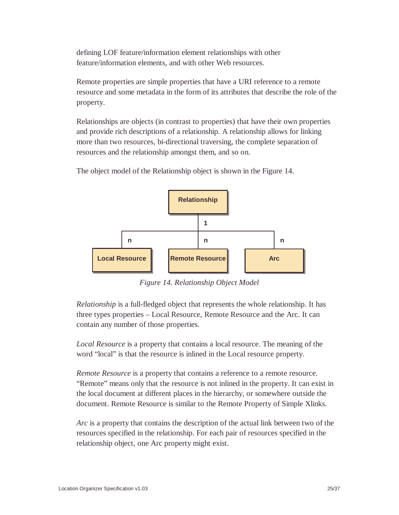defining LOF feature/information element relationships with other feature/information elements, and with other Web resources.

Remote properties are simple properties that have a URI reference to a remote resource and some metadata in the form of its attributes that describe the role of the property.

Relationships are objects (in contrast to properties) that have their own properties and provide rich descriptions of a relationship. A relationship allows for linking more than two resources, bi-directional traversing, the complete separation of resources and the relationship amongst them, and so on.

The object model of the Relationship object is shown in the Figure 14.



*Figure 14. Relationship Object Model*

*Relationship* is a full-fledged object that represents the whole relationship. It has three types properties – Local Resource, Remote Resource and the Arc. It can contain any number of those properties.

*Local Resource* is a property that contains a local resource. The meaning of the word "local" is that the resource is inlined in the Local resource property.

*Remote Resource* is a property that contains a reference to a remote resource. "Remote" means only that the resource is not inlined in the property. It can exist in the local document at different places in the hierarchy, or somewhere outside the document. Remote Resource is similar to the Remote Property of Simple Xlinks.

*Arc* is a property that contains the description of the actual link between two of the resources specified in the relationship. For each pair of resources specified in the relationship object, one Arc property might exist.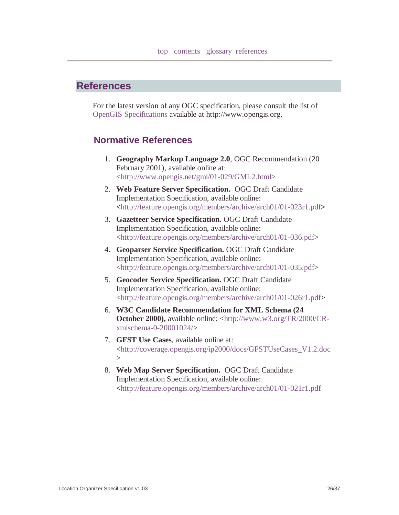#### **References**

For the latest version of any OGC specification, please consult the list of OpenGIS Specifications available at http://www.opengis.org.

#### **Normative References**

- 1. **Geography Markup Language 2.0**, OGC Recommendation (20 February 2001), available online at: <http://www.opengis.net/gml/01-029/GML2.html>
- 2. **Web Feature Server Specification.** OGC Draft Candidate Implementation Specification, available online: **<**http://feature.opengis.org/members/archive/arch01/01-023r1.pdf**>**
- 3. **Gazetteer Service Specification.** OGC Draft Candidate Implementation Specification, available online: <http://feature.opengis.org/members/archive/arch01/01-036.pdf>
- 4. **Geoparser Service Specification.** OGC Draft Candidate Implementation Specification, available online: <http://feature.opengis.org/members/archive/arch01/01-035.pdf>
- 5. **Geocoder Service Specification.** OGC Draft Candidate Implementation Specification, available online: <http://feature.opengis.org/members/archive/arch01/01-026r1.pdf>
- 6. **W3C Candidate Recommendation for XML Schema (24 October 2000),** available online: <http://www.w3.org/TR/2000/CRxmlschema-0-20001024/>
- 7. **GFST Use Cases**, available online at: <http://coverage.opengis.org/ip2000/docs/GFSTUseCases\_V1.2.doc  $>$
- 8. **Web Map Server Specification.** OGC Draft Candidate Implementation Specification, available online: **<**http://feature.opengis.org/members/archive/arch01/01-021r1.pdf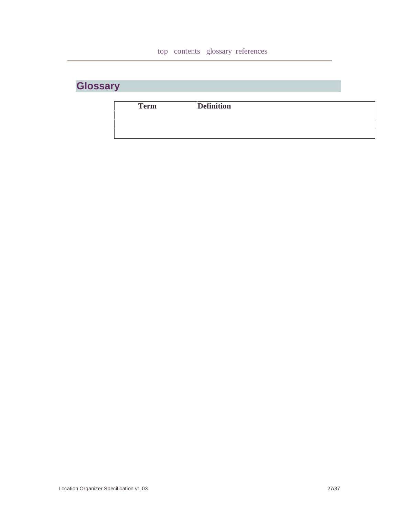| <b>Glossary</b> |
|-----------------|
|-----------------|

| <b>Term</b> | <b>Definition</b> |  |
|-------------|-------------------|--|
|             |                   |  |
|             |                   |  |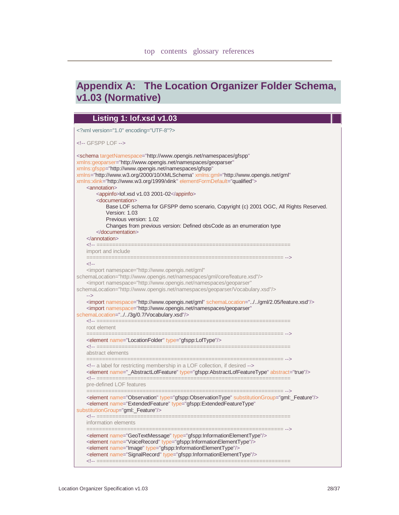## **Appendix A: The Location Organizer Folder Schema, v1.03 (Normative)**

| Listing 1: lof.xsd v1.03                                                                                                                                                                                                                                                                                                                                                                                                                                                                                                                                                                                                                                                                                                                                                       |
|--------------------------------------------------------------------------------------------------------------------------------------------------------------------------------------------------------------------------------------------------------------------------------------------------------------------------------------------------------------------------------------------------------------------------------------------------------------------------------------------------------------------------------------------------------------------------------------------------------------------------------------------------------------------------------------------------------------------------------------------------------------------------------|
| xml version="1.0" encoding="UTF-8"?                                                                                                                                                                                                                                                                                                                                                                                                                                                                                                                                                                                                                                                                                                                                            |
| GFSPP LOF                                                                                                                                                                                                                                                                                                                                                                                                                                                                                                                                                                                                                                                                                                                                                                      |
| <schema <br="" targetnamespace="http://www.opengis.net/namespaces/gfspp">xmlns:geoparser="http://www.opengis.net/namespaces/geoparser"<br/>xmlns:gfspp="http://www.opengis.net/namespaces/gfspp"<br/>xmlns="http://www.w3.org/2000/10/XMLSchema" xmlns:gml="http://www.opengis.net/gml"<br/>xmlns:xlink="http://www.w3.org/1999/xlink" elementFormDefault="qualified"&gt;<br/><annotation><br/><appinfo>lof.xsd v1.03 2001-02</appinfo><br/><documentation><br/>Base LOF schema for GFSPP demo scenario, Copyright (c) 2001 OGC, All Rights Reserved.<br/>Version: 1.03<br/>Previous version: 1.02<br/>Changes from previous version: Defined obsCode as an enumeration type<br/></documentation><br/><math>\alpha</math> annotation <math>\alpha</math></annotation></schema> |
| import and include                                                                                                                                                                                                                                                                                                                                                                                                                                                                                                                                                                                                                                                                                                                                                             |
| $<$ --<br><import <br="" namespace="http://www.opengis.net/gml">schemaLocation="http://www.opengis.net/namespaces/gml/core/feature.xsd"/&gt;<br/><import <br="" namespace="http://www.opengis.net/namespaces/geoparser">schemaLocation="http://www.opengis.net/namespaces/geoparser/Vocabulary.xsd"/&gt;<br/><math>\rightarrow</math><br/><import namespace="http://www.opengis.net/gml" schemalocation="//gml/2.05/feature.xsd"></import><br/><import <br="" namespace="http://www.opengis.net/namespaces/geoparser">schemaLocation="//3g/0.7/Vocabulary.xsd"/&gt;<br/>root element</import></import></import>                                                                                                                                                                |
| <element name="LocationFolder" type="gfspp:LofType"></element>                                                                                                                                                                                                                                                                                                                                                                                                                                                                                                                                                                                                                                                                                                                 |
| abstract elements                                                                                                                                                                                                                                                                                                                                                                                                                                                                                                                                                                                                                                                                                                                                                              |
| ==============<br>a label for restricting membership in a LOF collection, if desired<br><element abstract="true" name="_AbstractLofFeature" type="gfspp:AbstractLofFeatureType"></element>                                                                                                                                                                                                                                                                                                                                                                                                                                                                                                                                                                                     |
| pre-defined LOF features<br>======================================                                                                                                                                                                                                                                                                                                                                                                                                                                                                                                                                                                                                                                                                                                             |
| <element name="Observation" substitutiongroup="gml:_Feature" type="gfspp:ObservationType"></element><br><element <br="" name="ExtendedFeature" type="gfspp:ExtendedFeatureType">substitutionGroup="gml:_Feature"/&gt;<br/>information elements</element>                                                                                                                                                                                                                                                                                                                                                                                                                                                                                                                       |
| <element name="GeoTextMessage" type="gfspp:InformationElementType"></element><br><element name="VoiceRecord" type="gfspp:InformationElementType"></element><br><element name="Image" type="gfspp:InformationElementType"></element><br><element name="SignalRecord" type="gfspp:InformationElementType"></element>                                                                                                                                                                                                                                                                                                                                                                                                                                                             |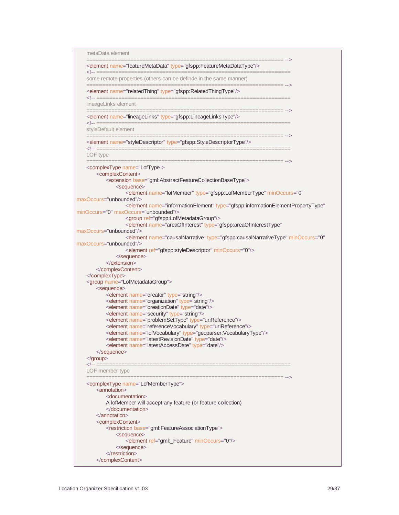| metaData element                                                                                                                              |  |  |
|-----------------------------------------------------------------------------------------------------------------------------------------------|--|--|
| <element name="featureMetaData" type="gfspp:FeatureMetaDataType"></element>                                                                   |  |  |
| some remote properties (others can be definde in the same manner)<br>.__________________________________                                      |  |  |
| <element name="relatedThing" type="gfspp:RelatedThingType"></element>                                                                         |  |  |
| lineageLinks element                                                                                                                          |  |  |
| <element name="lineageLinks" type="gfspp:LineageLinksType"></element>                                                                         |  |  |
| styleDefault element                                                                                                                          |  |  |
| <element name="styleDescriptor" type="gfspp:StyleDescriptorType"></element>                                                                   |  |  |
| LOF type<br>==============                                                                                                                    |  |  |
| <complextype name="LofType"><br/><complexcontent></complexcontent></complextype>                                                              |  |  |
| <extension base="gml:AbstractFeatureCollectionBaseType"><br/><sequence></sequence></extension>                                                |  |  |
| <element <br="" minoccurs="0" name="lofMember" type="gfspp:LofMemberType">maxOccurs="unbounded"/&gt;</element>                                |  |  |
| <element <br="" name="informationElement" type="gfspp:informationElementPropertyType">minOccurs="0" maxOccurs="unbounded"/&gt;</element>      |  |  |
| <group ref="gfspp:LofMetadataGroup"></group><br><element <="" name="areaOfInterest" td="" type="gfspp:areaOfInterestType"><td></td></element> |  |  |
| maxOccurs="unbounded"/><br><element <="" minoccurs="0" name="causalNarrative" td="" type="gfspp:causalNarrativeType"><td></td></element>      |  |  |
| maxOccurs="unbounded"/>                                                                                                                       |  |  |
| <element minoccurs="0" ref="gfspp:styleDescriptor"></element><br>$<$ /sequence>                                                               |  |  |
| $<$ /extension>                                                                                                                               |  |  |
|                                                                                                                                               |  |  |
|                                                                                                                                               |  |  |
| <group name="LofMetadataGroup"><br/><sequence></sequence></group>                                                                             |  |  |
| <element name="creator" type="string"></element>                                                                                              |  |  |
| <element name="organization" type="string"></element>                                                                                         |  |  |
| <element name="creationDate" type="date"></element>                                                                                           |  |  |
| <element name="security" type="string"></element>                                                                                             |  |  |
| <element name="problemSetType" type="uriReference"></element>                                                                                 |  |  |
| <element name="referenceVocabulary" type="uriReference"></element>                                                                            |  |  |
| <element name="lofVocabulary" type="geoparser:VocabularyType"></element>                                                                      |  |  |
| <element name="latestRevisionDate" type="date"></element>                                                                                     |  |  |
| <element name="latestAccessDate" type="date"></element>                                                                                       |  |  |
| $<$ /sequence>                                                                                                                                |  |  |
| $<$ /group>                                                                                                                                   |  |  |
|                                                                                                                                               |  |  |
| LOF member type                                                                                                                               |  |  |
| ============<br><complextype name="LofMemberType"></complextype>                                                                              |  |  |
| <annotation></annotation>                                                                                                                     |  |  |
| <documentation></documentation>                                                                                                               |  |  |
| A lofMember will accept any feature (or feature collection)                                                                                   |  |  |
| $\alpha$ documentation                                                                                                                        |  |  |
| $\alpha$ /annotation>                                                                                                                         |  |  |
| <complexcontent></complexcontent>                                                                                                             |  |  |
| <restriction base="gml:FeatureAssociationType"></restriction>                                                                                 |  |  |
| <sequence></sequence>                                                                                                                         |  |  |
| <element minoccurs="0" ref="gml:_Feature"></element>                                                                                          |  |  |
| $<$ /sequence $>$                                                                                                                             |  |  |
| $<$ /restriction>                                                                                                                             |  |  |
|                                                                                                                                               |  |  |
|                                                                                                                                               |  |  |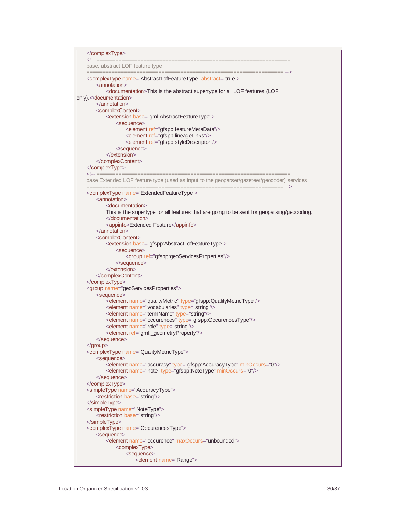```
</complexType>
   <!-- ==============================================================
   base, abstract LOF feature type
                                                   ===================================
    <complexType name="AbstractLofFeatureType" abstract="true">
       <annotation>
           <documentation>This is the abstract supertype for all LOF features (LOF
only).</documentation>
       </annotation>
       <complexContent>
           <extension base="gml:AbstractFeatureType">
               <sequence>
                   -<br>
<element ref="gfspp:featureMetaData"/>
                   <element ref="gfspp:lineageLinks"/>
                   <element ref="gfspp:styleDescriptor"/>
               </sequence>
           </extension>
       </complexContent>
   </complexType><br><!-- ===========
                              ================================
   base Extended LOF feature type (used as input to the geoparser/gazeteer/geocoder) services
                 =============================================================== -->
   <complexType name="ExtendedFeatureType">
       <annotation>
           <documentation>
           This is the supertype for all features that are going to be sent for geoparsing/geocoding.
           </documentation>
           <appinfo>Extended Feature</appinfo>
       </annotation>
       <complexContent>
           <extension base="gfspp:AbstractLofFeatureType">
               <sequence>
                   <group ref="gfspp:geoServicesProperties"/>
               </sequence>
           </extension>
       </complexContent>
   </complexType>
    <group name="geoServicesProperties">
       <sequence>
           <element name="qualityMetric" type="gfspp:QualityMetricType"/>
           <element name="vocabularies" type="string"/>
           <element name="termName" type="string"/>
           <element name="occurences" type="gfspp:OccurencesType"/>
           <element name="role" type="string"/>
           <element ref="gml:_geometryProperty"/>
       </sequence>
   </group>
    <complexType name="QualityMetricType">
       <sequence>
           <element name="accuracy" type="gfspp:AccuracyType" minOccurs="0"/>
           <element name="note" type="gfspp:NoteType" minOccurs="0"/>
       </sequence>
    </complexType>
    <simpleType name="AccuracyType">
       <restriction base="string"/>
   </simpleType>
    <simpleType name="NoteType">
       <restriction base="string"/>
    </simpleType>
   <complexType name="OccurencesType">
       <sequence>
           <element name="occurence" maxOccurs="unbounded">
               <complexType>
                   <sequence>
                       <element name="Range">
```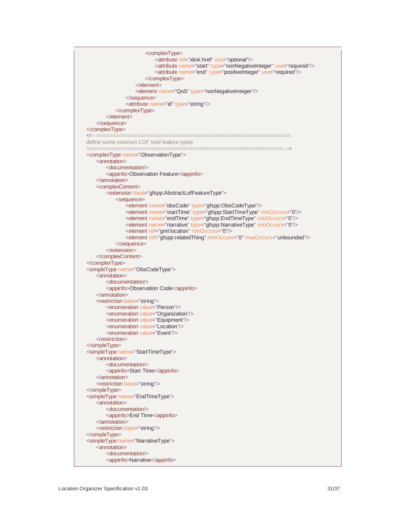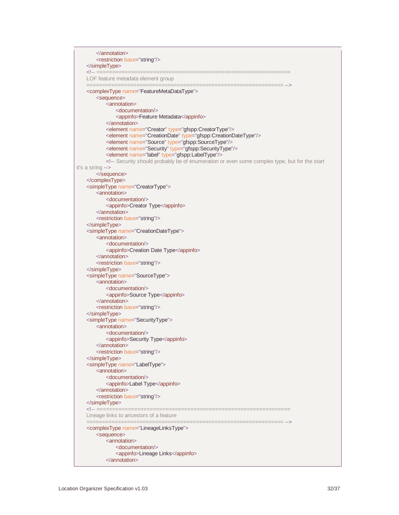</annotation> <restriction base="string"/> </simpleType> <!-- ============================================================== LOF feature metadata element group =============================================================== --> <complexType name="FeatureMetaDataType"> <sequence> <annotation> <documentation/> <appinfo>Feature Metadata</appinfo> </annotation> <element name="Creator" type="gfspp:CreatorType"/> <element name="CreationDate" type="gfspp:CreationDateType"/> <element name="Source" type="gfspp:SourceType"/> <element name="Security" type="gfspp:SecurityType"/> <element name="label" type="gfspp:LabelType"/> <!-- Security should probably be of enumeration or even some complex type, but for the start it's a string --> </sequence> </complexType> <simpleType name="CreatorType"> <annotation> <documentation/> <appinfo>Creator Type</appinfo> </annotation> <restriction base="string"/> </simpleType> <simpleType name="CreationDateType"> <annotation> <documentation/> <appinfo>Creation Date Type</appinfo> </annotation> <restriction base="string"/> </simpleType> <simpleType name="SourceType"> <annotation> <documentation/> <appinfo>Source Type</appinfo> </annotation> <restriction base="string"/> </simpleType> <simpleType name="SecurityType"> <annotation> <documentation/> <appinfo>Security Type</appinfo> </annotation> <restriction base="string"/> </simpleType> <simpleType name="LabelType"> <annotation> <documentation/> <appinfo>Label Type</appinfo> </annotation> <restriction base="string"/> </simpleType> <!-- ============================================================== Lineage links to ancestors of a feature =============================================================== --> <complexType name="LineageLinksType"> <sequence> <annotation> <documentation/> <appinfo>Lineage Links</appinfo> </annotation>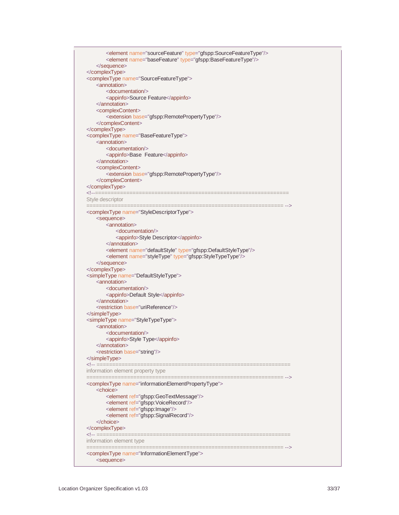<element name="sourceFeature" type="gfspp:SourceFeatureType"/> <element name="baseFeature" type="gfspp:BaseFeatureType"/> </sequence> </complexType> <complexType name="SourceFeatureType"> <annotation> <documentation/> <appinfo>Source Feature</appinfo> </annotation> <complexContent> <extension base="gfspp:RemotePropertyType"/> </complexContent> </complexType> <complexType name="BaseFeatureType"> <annotation> <documentation/> <appinfo>Base Feature</appinfo> </annotation> <complexContent> <extension base="gfspp:RemotePropertyType"/> </complexContent> </complexType> <!--============================================================== Style descriptor =============================================================== --> <complexType name="StyleDescriptorType"> <sequence> <annotation> <documentation/> <appinfo>Style Descriptor</appinfo> </annotation> <element name="defaultStyle" type="gfspp:DefaultStyleType"/> <element name="styleType" type="gfspp:StyleTypeType"/> </sequence> </complexType> <simpleType name="DefaultStyleType"> <annotation> <documentation/> <appinfo>Default Style</appinfo> </annotation> <restriction base="uriReference"/> </simpleType> <simpleType name="StyleTypeType"> <annotation> <documentation/> <appinfo>Style Type</appinfo> </annotation> <restriction base="string"/> </simpleType> <!-- ============================================================== information element property type =============================================================== --> <complexType name="informationElementPropertyType"> <choice> <element ref="gfspp:GeoTextMessage"/> <element ref="gfspp:VoiceRecord"/> <element ref="gfspp:Image"/> <element ref="gfspp:SignalRecord"/> </choice> </complexType> <!-- ============================================================== information element type =============================================================== --> <complexType name="InformationElementType"> <sequence>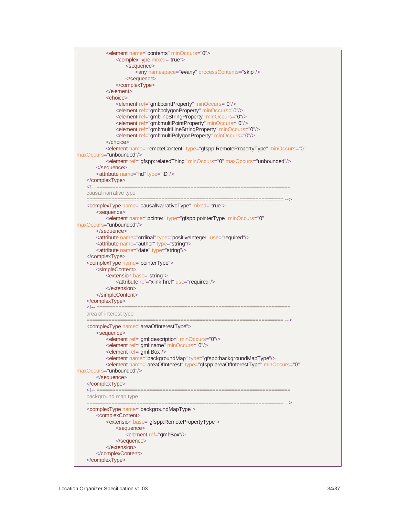| <element minoccurs="0" name="contents"><br/><complextype mixed="true"><br/><sequence><br/><any namespace="##any" processcontents="skip"></any><br/></sequence><br/></complextype><br/><math>&lt;</math>/element<math>&gt;</math></element>                                                                                                                                                                                                                          |
|---------------------------------------------------------------------------------------------------------------------------------------------------------------------------------------------------------------------------------------------------------------------------------------------------------------------------------------------------------------------------------------------------------------------------------------------------------------------|
| <choice><br/><element minoccurs="0" ref="gml:pointProperty"></element><br/><element minoccurs="0" ref="gml:polygonProperty"></element><br/><element minoccurs="0" ref="gml:lineStringProperty"></element><br/><element minoccurs="0" ref="gml:multiPointProperty"></element><br/><element minoccurs="0" ref="gml:multiLineStringProperty"></element><br/><element minoccurs="0" ref="gml:multiPolygonProperty"></element><br/><math>&lt;</math>/choice&gt;</choice> |
| <element <br="" minoccurs="0" name="remoteContent" type="gfspp:RemotePropertyType">maxOccurs="unbounded"/&gt;<br/><element maxoccurs="unbounded" minoccurs="0" ref="gfspp:relatedThing"></element><br/><br/><attribute name="fid" type="ID"></attribute><br/><math>&lt;</math>/complexType<math>&gt;</math></element>                                                                                                                                               |
| <!-- =========<br>causal narrative type                                                                                                                                                                                                                                                                                                                                                                                                                             |
| ============================<br><complextype mixed="true" name="causalNarrativeType"></complextype>                                                                                                                                                                                                                                                                                                                                                                 |
| <sequence><br/><element <br="" minoccurs="0" name="pointer" type="gfspp:pointerType">maxOccurs="unbounded"/&gt;<br/></element></sequence>                                                                                                                                                                                                                                                                                                                           |
| <attribute name="ordinal" type="positiveInteger" use="required"></attribute><br><attribute name="author" type="string"></attribute><br><attribute name="date" type="string"></attribute>                                                                                                                                                                                                                                                                            |
| <br><complextype name="pointerType"><br/><simplecontent><br/><extension base="string"><br/><attribute ref="xlink:href" use="required"></attribute></extension></simplecontent></complextype>                                                                                                                                                                                                                                                                        |
| $<$ /extension><br><br><br><!-- ===========</th>                                                                                                                                                                                                                                                                                                                                                                                                                    |
| area of interest type                                                                                                                                                                                                                                                                                                                                                                                                                                               |
| <complextype name="areaOfInterestType"><br/><sequence><br/><element minoccurs="0" ref="gml:description"></element></sequence></complextype>                                                                                                                                                                                                                                                                                                                         |
| <element minoccurs="0" ref="gml:name"></element><br><element ref="gml:Box"></element><br><element name="backgroundMap" type="gfspp:backgroundMapType"></element>                                                                                                                                                                                                                                                                                                    |
| <element <br="" minoccurs="0" name="areaOfInterest" type="gfspp:areaOfInterestType">maxOccurs="unbounded"/&gt;<br/></element>                                                                                                                                                                                                                                                                                                                                       |
| <br><u>&lt;!-- ===========&lt;/u&gt;<br/>background map type</u>                                                                                                                                                                                                                                                                                                                                                                                                    |
| ============<br><complextype name="backgroundMapType"></complextype>                                                                                                                                                                                                                                                                                                                                                                                                |
| <complexcontent><br/><extension base="gfspp:RemotePropertyType"><br/><sequence></sequence></extension></complexcontent>                                                                                                                                                                                                                                                                                                                                             |
| <element ref="gml:Box"></element><br>$<$ /sequence><br>                                                                                                                                                                                                                                                                                                                                                                                                             |
| <br>                                                                                                                                                                                                                                                                                                                                                                                                                                                                |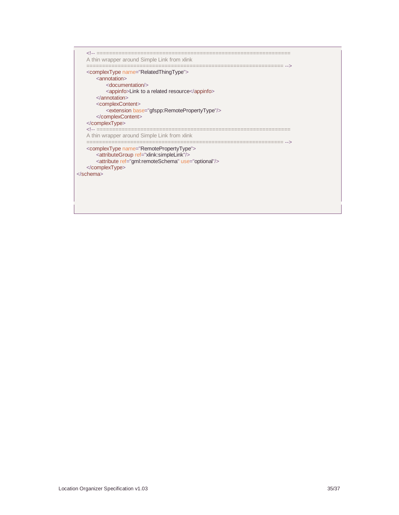<!-- ============================================================== A thin wrapper around Simple Link from xlink =============================================================== --> <complexType name="RelatedThingType"> <annotation> <documentation/> <appinfo>Link to a related resource</appinfo> </annotation> <complexContent> <extension base="gfspp:RemotePropertyType"/> </complexContent> </complexType><br><!-- =========== <!-- ============================================================== A thin wrapper around Simple Link from xlink =============================================================== --> <complexType name="RemotePropertyType"> <attributeGroup ref="xlink:simpleLink"/> <attribute ref="gml:remoteSchema" use="optional"/> </complexType> </schema>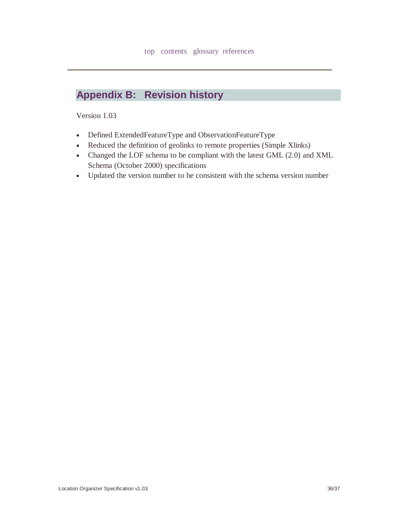## **Appendix B: Revision history**

Version 1.03

- Defined ExtendedFeatureType and ObservationFeatureType
- Reduced the definition of geolinks to remote properties (Simple Xlinks)
- Changed the LOF schema to be compliant with the latest GML (2.0) and XML Schema (October 2000) specifications
- Updated the version number to be consistent with the schema version number